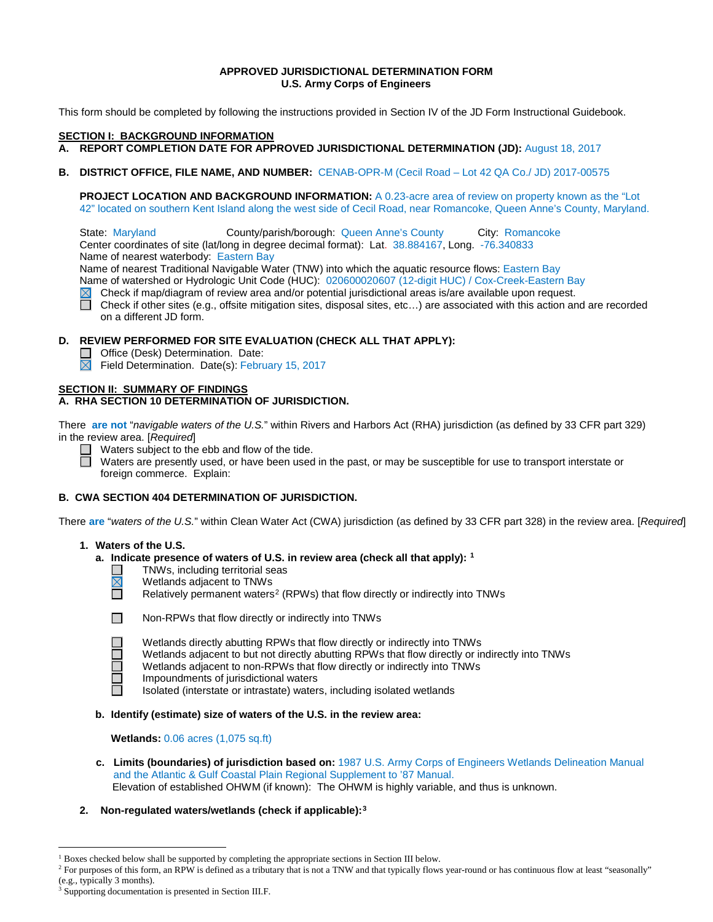## **APPROVED JURISDICTIONAL DETERMINATION FORM U.S. Army Corps of Engineers**

This form should be completed by following the instructions provided in Section IV of the JD Form Instructional Guidebook.

### **SECTION I: BACKGROUND INFORMATION**

- **A. REPORT COMPLETION DATE FOR APPROVED JURISDICTIONAL DETERMINATION (JD):** August 18, 2017
- **B. DISTRICT OFFICE, FILE NAME, AND NUMBER:** CENAB-OPR-M (Cecil Road Lot 42 QA Co./ JD) 2017-00575

**PROJECT LOCATION AND BACKGROUND INFORMATION:** A 0.23-acre area of review on property known as the "Lot 42" located on southern Kent Island along the west side of Cecil Road, near Romancoke, Queen Anne's County, Maryland.

State: Maryland County/parish/borough: Queen Anne's County City: Romancoke Center coordinates of site (lat/long in degree decimal format): Lat. 38.884167, Long. -76.340833 Name of nearest waterbody: Eastern Bay

Name of nearest Traditional Navigable Water (TNW) into which the aquatic resource flows: Eastern Bay Name of watershed or Hydrologic Unit Code (HUC): 020600020607 (12-digit HUC) / Cox-Creek-Eastern Bay

- $\boxtimes$ Check if map/diagram of review area and/or potential jurisdictional areas is/are available upon request.
- П Check if other sites (e.g., offsite mitigation sites, disposal sites, etc…) are associated with this action and are recorded on a different JD form.

### **D. REVIEW PERFORMED FOR SITE EVALUATION (CHECK ALL THAT APPLY):**

- □ Office (Desk) Determination. Date:
- $\overline{\boxtimes}$  Field Determination. Date(s): February 15, 2017

# **SECTION II: SUMMARY OF FINDINGS**

# **A. RHA SECTION 10 DETERMINATION OF JURISDICTION.**

There **are not** "*navigable waters of the U.S.*" within Rivers and Harbors Act (RHA) jurisdiction (as defined by 33 CFR part 329) in the review area. [*Required*]

Waters subject to the ebb and flow of the tide.

Waters are presently used, or have been used in the past, or may be susceptible for use to transport interstate or foreign commerce. Explain:

## **B. CWA SECTION 404 DETERMINATION OF JURISDICTION.**

There **are** "*waters of the U.S.*" within Clean Water Act (CWA) jurisdiction (as defined by 33 CFR part 328) in the review area. [*Required*]

### **1. Waters of the U.S.**

- **a. Indicate presence of waters of U.S. in review area (check all that apply): [1](#page-0-0)**
	- TNWs, including territorial seas
	- $\overline{\mathbb{N}}$ Wetlands adjacent to TNWs
		- Relatively permanent waters<sup>[2](#page-0-1)</sup> (RPWs) that flow directly or indirectly into TNWs



帀

П

Non-RPWs that flow directly or indirectly into TNWs

- Wetlands directly abutting RPWs that flow directly or indirectly into TNWs
- Wetlands adjacent to but not directly abutting RPWs that flow directly or indirectly into TNWs
- Wetlands adjacent to non-RPWs that flow directly or indirectly into TNWs
- Impoundments of jurisdictional waters
- Isolated (interstate or intrastate) waters, including isolated wetlands
- **b. Identify (estimate) size of waters of the U.S. in the review area:**

**Wetlands:** 0.06 acres (1,075 sq.ft)

- **c. Limits (boundaries) of jurisdiction based on:** 1987 U.S. Army Corps of Engineers Wetlands Delineation Manual and the Atlantic & Gulf Coastal Plain Regional Supplement to '87 Manual. Elevation of established OHWM (if known): The OHWM is highly variable, and thus is unknown.
- **2. Non-regulated waters/wetlands (check if applicable):[3](#page-0-2)**

<span id="page-0-0"></span><sup>&</sup>lt;sup>1</sup> Boxes checked below shall be supported by completing the appropriate sections in Section III below.

<span id="page-0-1"></span><sup>&</sup>lt;sup>2</sup> For purposes of this form, an RPW is defined as a tributary that is not a TNW and that typically flows year-round or has continuous flow at least "seasonally" (e.g., typically 3 months).

<span id="page-0-2"></span>Supporting documentation is presented in Section III.F.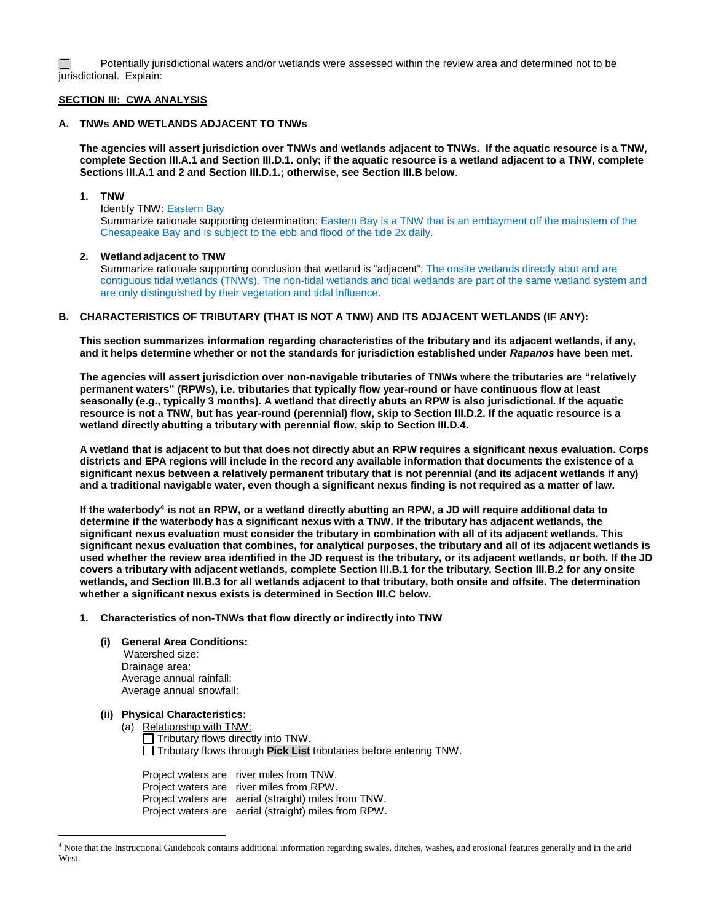П Potentially jurisdictional waters and/or wetlands were assessed within the review area and determined not to be jurisdictional. Explain:

### **SECTION III: CWA ANALYSIS**

## **A. TNWs AND WETLANDS ADJACENT TO TNWs**

**The agencies will assert jurisdiction over TNWs and wetlands adjacent to TNWs. If the aquatic resource is a TNW, complete Section III.A.1 and Section III.D.1. only; if the aquatic resource is a wetland adjacent to a TNW, complete Sections III.A.1 and 2 and Section III.D.1.; otherwise, see Section III.B below**.

### **1. TNW**

Identify TNW: Eastern Bay Summarize rationale supporting determination: Eastern Bay is a TNW that is an embayment off the mainstem of the Chesapeake Bay and is subject to the ebb and flood of the tide 2x daily.

### **2. Wetland adjacent to TNW**

Summarize rationale supporting conclusion that wetland is "adjacent": The onsite wetlands directly abut and are contiguous tidal wetlands (TNWs). The non-tidal wetlands and tidal wetlands are part of the same wetland system and are only distinguished by their vegetation and tidal influence.

## **B. CHARACTERISTICS OF TRIBUTARY (THAT IS NOT A TNW) AND ITS ADJACENT WETLANDS (IF ANY):**

**This section summarizes information regarding characteristics of the tributary and its adjacent wetlands, if any, and it helps determine whether or not the standards for jurisdiction established under** *Rapanos* **have been met.** 

**The agencies will assert jurisdiction over non-navigable tributaries of TNWs where the tributaries are "relatively permanent waters" (RPWs), i.e. tributaries that typically flow year-round or have continuous flow at least seasonally (e.g., typically 3 months). A wetland that directly abuts an RPW is also jurisdictional. If the aquatic resource is not a TNW, but has year-round (perennial) flow, skip to Section III.D.2. If the aquatic resource is a wetland directly abutting a tributary with perennial flow, skip to Section III.D.4.** 

**A wetland that is adjacent to but that does not directly abut an RPW requires a significant nexus evaluation. Corps districts and EPA regions will include in the record any available information that documents the existence of a significant nexus between a relatively permanent tributary that is not perennial (and its adjacent wetlands if any) and a traditional navigable water, even though a significant nexus finding is not required as a matter of law.**

**If the waterbody[4](#page-1-0) is not an RPW, or a wetland directly abutting an RPW, a JD will require additional data to determine if the waterbody has a significant nexus with a TNW. If the tributary has adjacent wetlands, the significant nexus evaluation must consider the tributary in combination with all of its adjacent wetlands. This significant nexus evaluation that combines, for analytical purposes, the tributary and all of its adjacent wetlands is used whether the review area identified in the JD request is the tributary, or its adjacent wetlands, or both. If the JD covers a tributary with adjacent wetlands, complete Section III.B.1 for the tributary, Section III.B.2 for any onsite wetlands, and Section III.B.3 for all wetlands adjacent to that tributary, both onsite and offsite. The determination whether a significant nexus exists is determined in Section III.C below.**

**1. Characteristics of non-TNWs that flow directly or indirectly into TNW**

## **(i) General Area Conditions:**

 Watershed size: Drainage area: Average annual rainfall: Average annual snowfall:

**(ii) Physical Characteristics:**

(a) Relationship with TNW:

 $\Box$  Tributary flows directly into TNW. Tributary flows through **Pick List** tributaries before entering TNW.

Project waters are river miles from TNW. Project waters are river miles from RPW. Project waters are aerial (straight) miles from TNW. Project waters are aerial (straight) miles from RPW.

<span id="page-1-0"></span> <sup>4</sup> Note that the Instructional Guidebook contains additional information regarding swales, ditches, washes, and erosional features generally and in the arid West.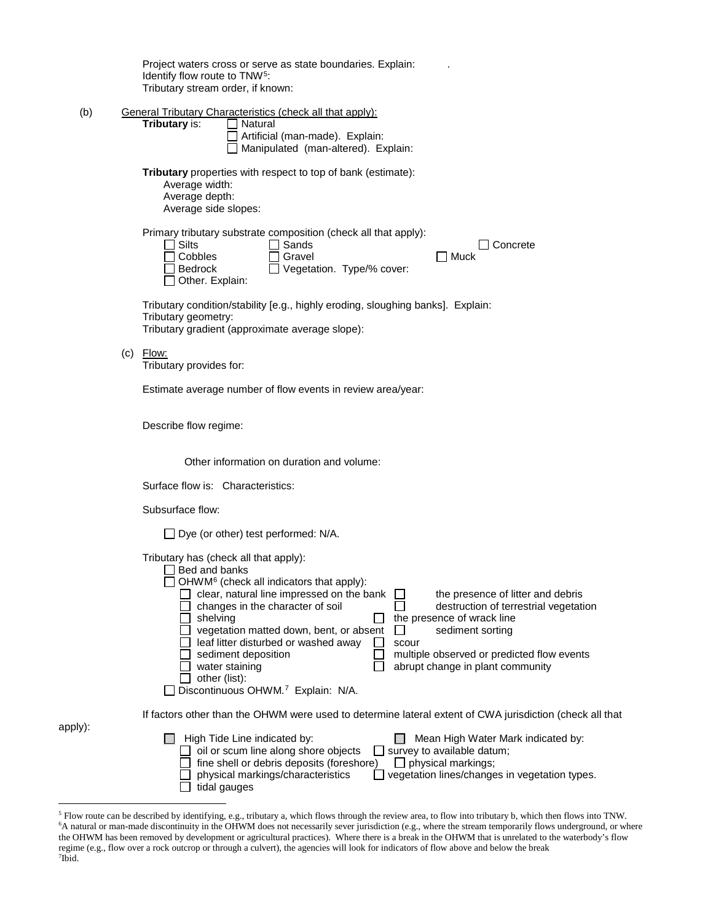|                                   |  | Project waters cross or serve as state boundaries. Explain:<br>Identify flow route to TNW <sup>5</sup> :<br>Tributary stream order, if known:                                                                                                                                                                                                                                                                                                                                                                                                                                                                                                         |
|-----------------------------------|--|-------------------------------------------------------------------------------------------------------------------------------------------------------------------------------------------------------------------------------------------------------------------------------------------------------------------------------------------------------------------------------------------------------------------------------------------------------------------------------------------------------------------------------------------------------------------------------------------------------------------------------------------------------|
| (b)                               |  | <b>General Tributary Characteristics (check all that apply):</b><br>Tributary is:<br>Natural<br>Artificial (man-made). Explain:<br>Manipulated (man-altered). Explain:                                                                                                                                                                                                                                                                                                                                                                                                                                                                                |
|                                   |  | <b>Tributary</b> properties with respect to top of bank (estimate):<br>Average width:<br>Average depth:<br>Average side slopes:                                                                                                                                                                                                                                                                                                                                                                                                                                                                                                                       |
|                                   |  | Primary tributary substrate composition (check all that apply):<br>Silts<br>Sands<br>Concrete<br>Cobbles<br>Gravel<br>Muck<br>Vegetation. Type/% cover:<br><b>Bedrock</b><br>Other. Explain:                                                                                                                                                                                                                                                                                                                                                                                                                                                          |
|                                   |  | Tributary condition/stability [e.g., highly eroding, sloughing banks]. Explain:<br>Tributary geometry:<br>Tributary gradient (approximate average slope):                                                                                                                                                                                                                                                                                                                                                                                                                                                                                             |
|                                   |  | $(c)$ Flow:<br>Tributary provides for:                                                                                                                                                                                                                                                                                                                                                                                                                                                                                                                                                                                                                |
|                                   |  | Estimate average number of flow events in review area/year:                                                                                                                                                                                                                                                                                                                                                                                                                                                                                                                                                                                           |
|                                   |  | Describe flow regime:                                                                                                                                                                                                                                                                                                                                                                                                                                                                                                                                                                                                                                 |
|                                   |  | Other information on duration and volume:                                                                                                                                                                                                                                                                                                                                                                                                                                                                                                                                                                                                             |
| Surface flow is: Characteristics: |  |                                                                                                                                                                                                                                                                                                                                                                                                                                                                                                                                                                                                                                                       |
|                                   |  | Subsurface flow:                                                                                                                                                                                                                                                                                                                                                                                                                                                                                                                                                                                                                                      |
|                                   |  | $\Box$ Dye (or other) test performed: N/A.                                                                                                                                                                                                                                                                                                                                                                                                                                                                                                                                                                                                            |
|                                   |  | Tributary has (check all that apply):<br>Bed and banks<br>OHWM <sup>6</sup> (check all indicators that apply):<br>clear, natural line impressed on the bank<br>the presence of litter and debris<br>changes in the character of soil<br>destruction of terrestrial vegetation<br>shelving<br>the presence of wrack line<br>vegetation matted down, bent, or absent<br>sediment sorting<br>$\mathsf{L}$<br>leaf litter disturbed or washed away<br>scour<br>sediment deposition<br>multiple observed or predicted flow events<br>abrupt change in plant community<br>water staining<br>other (list):<br>Discontinuous OHWM. <sup>7</sup> Explain: N/A. |
|                                   |  | If factors other than the OHWM were used to determine lateral extent of CWA jurisdiction (check all that                                                                                                                                                                                                                                                                                                                                                                                                                                                                                                                                              |
| apply):                           |  | High Tide Line indicated by:<br>Mean High Water Mark indicated by:<br>oil or scum line along shore objects<br>$\exists$ survey to available datum;<br>fine shell or debris deposits (foreshore)<br>$\Box$ physical markings;<br>physical markings/characteristics<br>vegetation lines/changes in vegetation types.<br>tidal gauges                                                                                                                                                                                                                                                                                                                    |

<span id="page-2-2"></span><span id="page-2-1"></span><span id="page-2-0"></span><sup>&</sup>lt;sup>5</sup> Flow route can be described by identifying, e.g., tributary a, which flows through the review area, to flow into tributary b, which then flows into TNW.<br><sup>6</sup>A natural or man-made discontinuity in the OHWM does not neces the OHWM has been removed by development or agricultural practices). Where there is a break in the OHWM that is unrelated to the waterbody's flow regime (e.g., flow over a rock outcrop or through a culvert), the agencies will look for indicators of flow above and below the break 7 Ibid.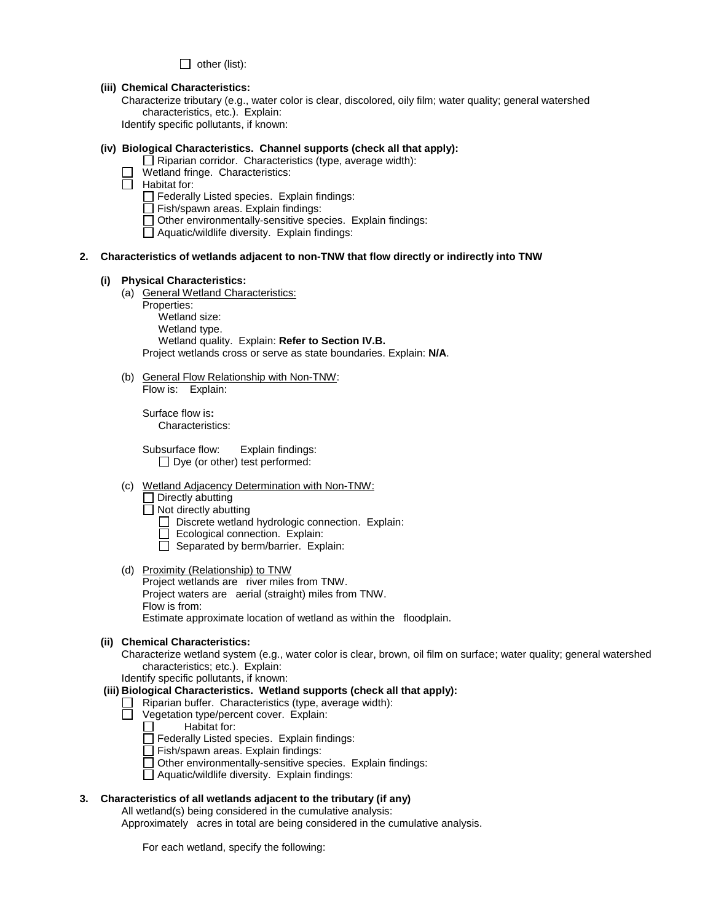$\Box$  other (list):

### **(iii) Chemical Characteristics:**

Characterize tributary (e.g., water color is clear, discolored, oily film; water quality; general watershed characteristics, etc.). Explain:

Identify specific pollutants, if known:

### **(iv) Biological Characteristics. Channel supports (check all that apply):**

 $\Box$  Riparian corridor. Characteristics (type, average width):

Wetland fringe. Characteristics:

 $\Box$  Habitat for:

- $\Box$  Federally Listed species. Explain findings:
- Fish/spawn areas. Explain findings:
- Other environmentally-sensitive species. Explain findings:
- Aquatic/wildlife diversity. Explain findings:

# **2. Characteristics of wetlands adjacent to non-TNW that flow directly or indirectly into TNW**

### **(i) Physical Characteristics:**

- (a) General Wetland Characteristics:
	- Properties:

Wetland size: Wetland type. Wetland quality. Explain: **Refer to Section IV.B.** Project wetlands cross or serve as state boundaries. Explain: **N/A**.

(b) General Flow Relationship with Non-TNW: Flow is: Explain:

Surface flow is**:**  Characteristics:

Subsurface flow:Explain findings:  $\Box$  Dye (or other) test performed:

- (c) Wetland Adjacency Determination with Non-TNW:
	- $\Box$  Directly abutting
	- $\Box$  Not directly abutting
		- $\Box$  Discrete wetland hydrologic connection. Explain:
		- Ecological connection. Explain:
		- $\Box$  Separated by berm/barrier. Explain:
- (d) Proximity (Relationship) to TNW Project wetlands are river miles from TNW. Project waters are aerial (straight) miles from TNW. Flow is from: Estimate approximate location of wetland as within the floodplain.

## **(ii) Chemical Characteristics:**

Characterize wetland system (e.g., water color is clear, brown, oil film on surface; water quality; general watershed characteristics; etc.). Explain:

Identify specific pollutants, if known:

# **(iii) Biological Characteristics. Wetland supports (check all that apply):**

- $\Box$  Riparian buffer. Characteristics (type, average width):
- $\Box$  Vegetation type/percent cover. Explain:<br> $\Box$  Habitat for:
	- Habitat for:
	- Federally Listed species. Explain findings:
	- Fish/spawn areas. Explain findings:
	- Other environmentally-sensitive species. Explain findings:
	- Aquatic/wildlife diversity. Explain findings:

## **3. Characteristics of all wetlands adjacent to the tributary (if any)**

All wetland(s) being considered in the cumulative analysis:

Approximately acres in total are being considered in the cumulative analysis.

For each wetland, specify the following: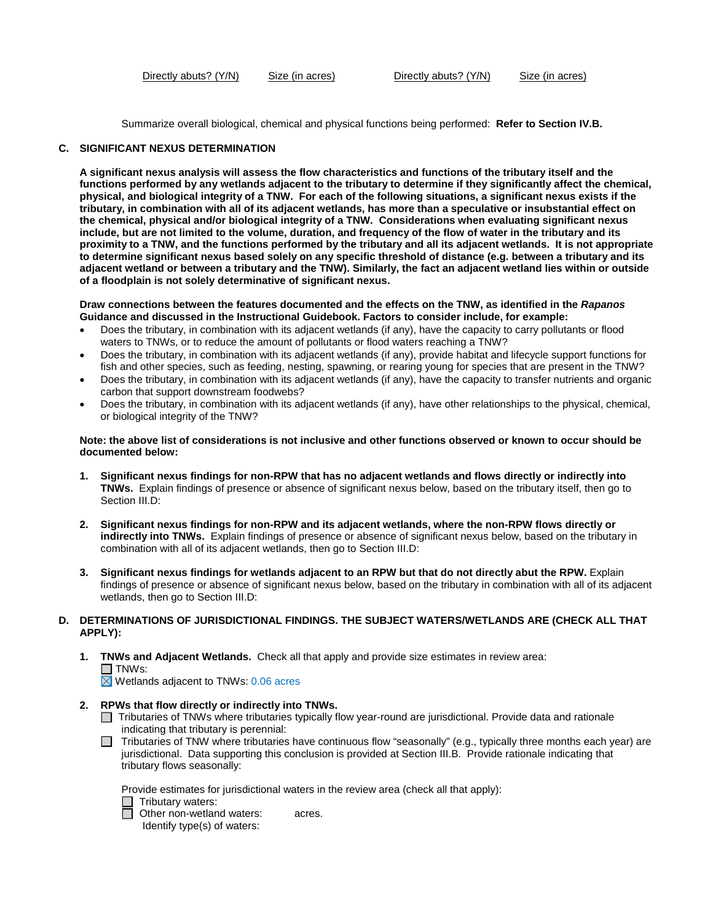Directly abuts? (Y/N) Size (in acres) Directly abuts? (Y/N) Size (in acres)

Summarize overall biological, chemical and physical functions being performed: **Refer to Section IV.B.**

### **C. SIGNIFICANT NEXUS DETERMINATION**

**A significant nexus analysis will assess the flow characteristics and functions of the tributary itself and the functions performed by any wetlands adjacent to the tributary to determine if they significantly affect the chemical, physical, and biological integrity of a TNW. For each of the following situations, a significant nexus exists if the tributary, in combination with all of its adjacent wetlands, has more than a speculative or insubstantial effect on the chemical, physical and/or biological integrity of a TNW. Considerations when evaluating significant nexus include, but are not limited to the volume, duration, and frequency of the flow of water in the tributary and its proximity to a TNW, and the functions performed by the tributary and all its adjacent wetlands. It is not appropriate to determine significant nexus based solely on any specific threshold of distance (e.g. between a tributary and its adjacent wetland or between a tributary and the TNW). Similarly, the fact an adjacent wetland lies within or outside of a floodplain is not solely determinative of significant nexus.** 

**Draw connections between the features documented and the effects on the TNW, as identified in the** *Rapanos* **Guidance and discussed in the Instructional Guidebook. Factors to consider include, for example:**

- Does the tributary, in combination with its adjacent wetlands (if any), have the capacity to carry pollutants or flood waters to TNWs, or to reduce the amount of pollutants or flood waters reaching a TNW?
- Does the tributary, in combination with its adjacent wetlands (if any), provide habitat and lifecycle support functions for fish and other species, such as feeding, nesting, spawning, or rearing young for species that are present in the TNW?
- Does the tributary, in combination with its adjacent wetlands (if any), have the capacity to transfer nutrients and organic carbon that support downstream foodwebs?
- Does the tributary, in combination with its adjacent wetlands (if any), have other relationships to the physical, chemical, or biological integrity of the TNW?

### **Note: the above list of considerations is not inclusive and other functions observed or known to occur should be documented below:**

- **1. Significant nexus findings for non-RPW that has no adjacent wetlands and flows directly or indirectly into TNWs.** Explain findings of presence or absence of significant nexus below, based on the tributary itself, then go to Section III.D:
- **2. Significant nexus findings for non-RPW and its adjacent wetlands, where the non-RPW flows directly or indirectly into TNWs.** Explain findings of presence or absence of significant nexus below, based on the tributary in combination with all of its adjacent wetlands, then go to Section III.D:
- **3. Significant nexus findings for wetlands adjacent to an RPW but that do not directly abut the RPW.** Explain findings of presence or absence of significant nexus below, based on the tributary in combination with all of its adjacent wetlands, then go to Section III.D:

## **D. DETERMINATIONS OF JURISDICTIONAL FINDINGS. THE SUBJECT WATERS/WETLANDS ARE (CHECK ALL THAT APPLY):**

**1. TNWs and Adjacent Wetlands.** Check all that apply and provide size estimates in review area:  $\Box$  TNWs:  $\overline{\boxtimes}$  Wetlands adjacent to TNWs: 0.06 acres

- **2. RPWs that flow directly or indirectly into TNWs.**
	- Tributaries of TNWs where tributaries typically flow year-round are jurisdictional. Provide data and rationale indicating that tributary is perennial:
	- $\Box$  Tributaries of TNW where tributaries have continuous flow "seasonally" (e.g., typically three months each year) are jurisdictional. Data supporting this conclusion is provided at Section III.B. Provide rationale indicating that tributary flows seasonally:

Provide estimates for jurisdictional waters in the review area (check all that apply):

 $\Box$  Tributary waters:

**D** Other non-wetland waters: acres.

Identify type(s) of waters: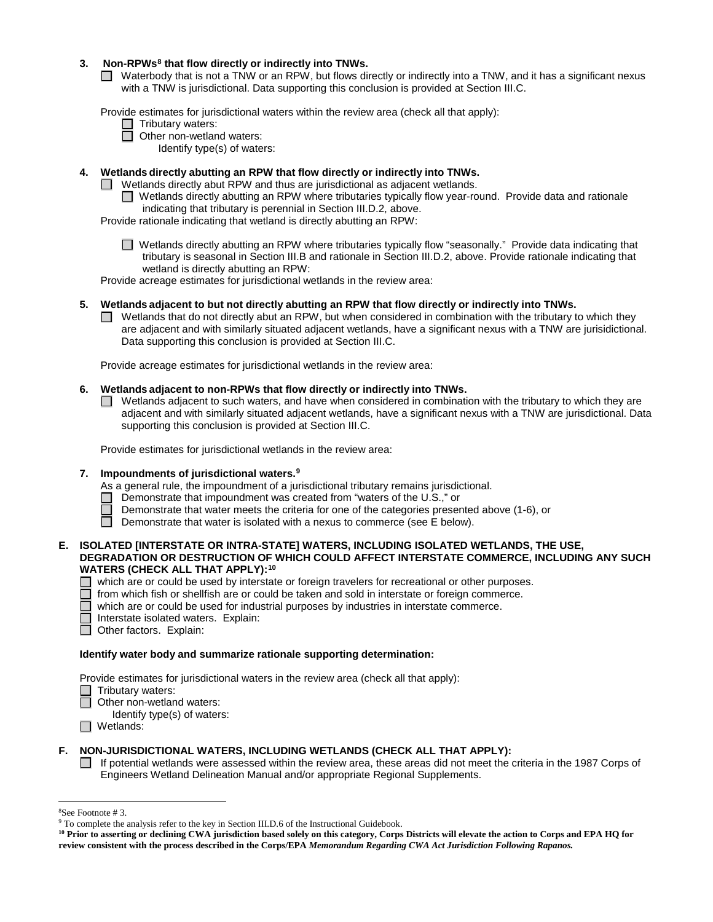# **3. Non-RPWs[8](#page-5-0) that flow directly or indirectly into TNWs.**

■ Waterbody that is not a TNW or an RPW, but flows directly or indirectly into a TNW, and it has a significant nexus with a TNW is jurisdictional. Data supporting this conclusion is provided at Section III.C.

Provide estimates for jurisdictional waters within the review area (check all that apply):

□ Tributary waters:

□ Other non-wetland waters:

Identify type(s) of waters:

# **4. Wetlands directly abutting an RPW that flow directly or indirectly into TNWs.**

- $\Box$  Wetlands directly abut RPW and thus are jurisdictional as adjacent wetlands.
	- П Wetlands directly abutting an RPW where tributaries typically flow year-round. Provide data and rationale indicating that tributary is perennial in Section III.D.2, above.

Provide rationale indicating that wetland is directly abutting an RPW:

■ Wetlands directly abutting an RPW where tributaries typically flow "seasonally." Provide data indicating that tributary is seasonal in Section III.B and rationale in Section III.D.2, above. Provide rationale indicating that wetland is directly abutting an RPW:

Provide acreage estimates for jurisdictional wetlands in the review area:

## **5. Wetlands adjacent to but not directly abutting an RPW that flow directly or indirectly into TNWs.**

 $\Box$  Wetlands that do not directly abut an RPW, but when considered in combination with the tributary to which they are adjacent and with similarly situated adjacent wetlands, have a significant nexus with a TNW are jurisidictional. Data supporting this conclusion is provided at Section III.C.

Provide acreage estimates for jurisdictional wetlands in the review area:

## **6. Wetlands adjacent to non-RPWs that flow directly or indirectly into TNWs.**

 $\Box$  Wetlands adjacent to such waters, and have when considered in combination with the tributary to which they are adjacent and with similarly situated adjacent wetlands, have a significant nexus with a TNW are jurisdictional. Data supporting this conclusion is provided at Section III.C.

Provide estimates for jurisdictional wetlands in the review area:

## **7. Impoundments of jurisdictional waters[.9](#page-5-1)**

As a general rule, the impoundment of a jurisdictional tributary remains jurisdictional.

- Demonstrate that impoundment was created from "waters of the U.S.," or
- Demonstrate that water meets the criteria for one of the categories presented above (1-6), or
- n Demonstrate that water is isolated with a nexus to commerce (see E below).

### **E. ISOLATED [INTERSTATE OR INTRA-STATE] WATERS, INCLUDING ISOLATED WETLANDS, THE USE, DEGRADATION OR DESTRUCTION OF WHICH COULD AFFECT INTERSTATE COMMERCE, INCLUDING ANY SUCH WATERS (CHECK ALL THAT APPLY):[10](#page-5-2)**

- which are or could be used by interstate or foreign travelers for recreational or other purposes.<br>
I from which fish or shellfish are or could be taken and sold in interstate or family containing
- $\Box$  from which fish or shellfish are or could be taken and sold in interstate or foreign commerce.<br> $\Box$  which are or could be used for industrial purposes by industries in interstate commerce.
	- which are or could be used for industrial purposes by industries in interstate commerce.
- Interstate isolated waters.Explain:
- Other factors. Explain:

## **Identify water body and summarize rationale supporting determination:**

Provide estimates for jurisdictional waters in the review area (check all that apply):

- Tributary waters:
- □ Other non-wetland waters:
	- Identify type(s) of waters:
- □ Wetlands:

# **F. NON-JURISDICTIONAL WATERS, INCLUDING WETLANDS (CHECK ALL THAT APPLY):**

 $\Box$  If potential wetlands were assessed within the review area, these areas did not meet the criteria in the 1987 Corps of Engineers Wetland Delineation Manual and/or appropriate Regional Supplements.

 $\frac{1}{8}$ 

<span id="page-5-0"></span><sup>&</sup>lt;sup>8</sup>See Footnote # 3. 9  $\degree$  3. 9 To complete the analysis refer to the key in Section III.D.6 of the Instructional Guidebook.

<span id="page-5-2"></span><span id="page-5-1"></span>**<sup>10</sup> Prior to asserting or declining CWA jurisdiction based solely on this category, Corps Districts will elevate the action to Corps and EPA HQ for review consistent with the process described in the Corps/EPA** *Memorandum Regarding CWA Act Jurisdiction Following Rapanos.*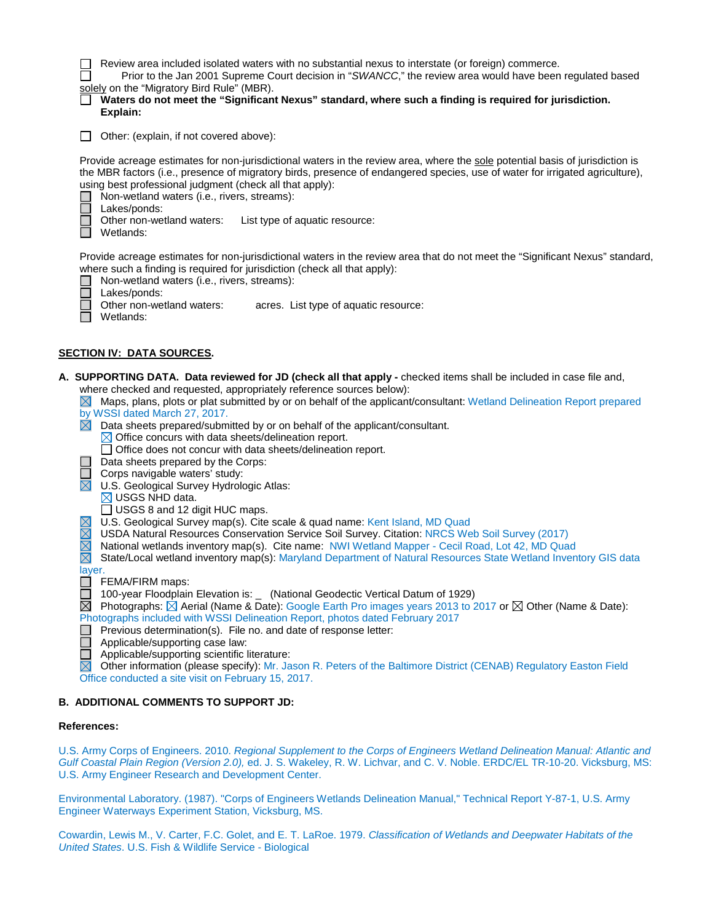| Review area included isolated waters with no substantial nexus to interstate (or foreign) commerce. |  |  |  |
|-----------------------------------------------------------------------------------------------------|--|--|--|
|-----------------------------------------------------------------------------------------------------|--|--|--|

ŏ Prior to the Jan 2001 Supreme Court decision in "*SWANCC*," the review area would have been regulated based solely on the "Migratory Bird Rule" (MBR).

|          | Waters do not meet the "Significant Nexus" standard, where such a finding is required for jurisdiction. |
|----------|---------------------------------------------------------------------------------------------------------|
| Explain: |                                                                                                         |

Other: (explain, if not covered above):

Provide acreage estimates for non-jurisdictional waters in the review area, where the sole potential basis of jurisdiction is the MBR factors (i.e., presence of migratory birds, presence of endangered species, use of water for irrigated agriculture), using best professional judgment (check all that apply):

Non-wetland waters (i.e., rivers, streams):

Lakes/ponds:

Other non-wetland waters: List type of aquatic resource:

П Wetlands:

Provide acreage estimates for non-jurisdictional waters in the review area that do not meet the "Significant Nexus" standard, where such a finding is required for jurisdiction (check all that apply):

Non-wetland waters (i.e., rivers, streams):

| Lake: |
|-------|
| Othe  |

Lakes/ponds:<br>Other non-wetland waters: acres. List type of aquatic resource:

 $\Box$  Wetlands:

# **SECTION IV: DATA SOURCES.**

- **A. SUPPORTING DATA. Data reviewed for JD (check all that apply -** checked items shall be included in case file and, where checked and requested, appropriately reference sources below):
	- $\boxtimes$  Maps, plans, plots or plat submitted by or on behalf of the applicant/consultant: Wetland Delineation Report prepared by WSSI dated March 27, 2017.
	- $\boxtimes$  Data sheets prepared/submitted by or on behalf of the applicant/consultant.

 $\boxtimes$  Office concurs with data sheets/delineation report.

- □ Office does not concur with data sheets/delineation report.
- Data sheets prepared by the Corps:
- Corps navigable waters' study:  $\overline{\boxtimes}$ 
	- U.S. Geological Survey Hydrologic Atlas:
	- $\boxtimes$  USGS NHD data.
	- □ USGS 8 and 12 digit HUC maps.
	- U.S. Geological Survey map(s). Cite scale & quad name: Kent Island, MD Quad
- 岗 USDA Natural Resources Conservation Service Soil Survey. Citation: NRCS Web Soil Survey (2017)
- $\overline{\boxtimes}$ National wetlands inventory map(s). Cite name: NWI Wetland Mapper - Cecil Road, Lot 42, MD Quad
- 岗 State/Local wetland inventory map(s): Maryland Department of Natural Resources State Wetland Inventory GIS data layer.

 $\Box$  FEMA/FIRM maps:

- 100-year Floodplain Elevation is: \_ (National Geodectic Vertical Datum of 1929)
- $\boxtimes$  Photographs:  $\boxtimes$  Aerial (Name & Date): Google Earth Pro images years 2013 to 2017 or  $\boxtimes$  Other (Name & Date):
- Photographs included with WSSI Delineation Report, photos dated February 2017 П
	- Previous determination(s). File no. and date of response letter:
	- Applicable/supporting case law:
- Ō Applicable/supporting scientific literature:

Other information (please specify): Mr. Jason R. Peters of the Baltimore District (CENAB) Regulatory Easton Field Office conducted a site visit on February 15, 2017.

## **B. ADDITIONAL COMMENTS TO SUPPORT JD:**

#### **References:**

U.S. Army Corps of Engineers. 2010. *Regional Supplement to the Corps of Engineers Wetland Delineation Manual: Atlantic and Gulf Coastal Plain Region (Version 2.0),* ed. J. S. Wakeley, R. W. Lichvar, and C. V. Noble. ERDC/EL TR-10-20. Vicksburg, MS: U.S. Army Engineer Research and Development Center.

Environmental Laboratory. (1987). "Corps of Engineers Wetlands Delineation Manual," Technical Report Y-87-1, U.S. Army Engineer Waterways Experiment Station, Vicksburg, MS.

Cowardin, Lewis M., V. Carter, F.C. Golet, and E. T. LaRoe. 1979. *Classification of Wetlands and Deepwater Habitats of the United States*. U.S. Fish & Wildlife Service - Biological